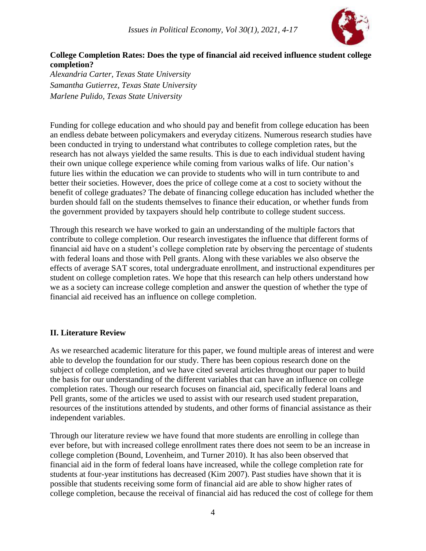

# **College Completion Rates: Does the type of financial aid received influence student college completion?**

*Alexandria Carter, Texas State University Samantha Gutierrez, Texas State University Marlene Pulido, Texas State University*

Funding for college education and who should pay and benefit from college education has been an endless debate between policymakers and everyday citizens. Numerous research studies have been conducted in trying to understand what contributes to college completion rates, but the research has not always yielded the same results. This is due to each individual student having their own unique college experience while coming from various walks of life. Our nation's future lies within the education we can provide to students who will in turn contribute to and better their societies. However, does the price of college come at a cost to society without the benefit of college graduates? The debate of financing college education has included whether the burden should fall on the students themselves to finance their education, or whether funds from the government provided by taxpayers should help contribute to college student success.

Through this research we have worked to gain an understanding of the multiple factors that contribute to college completion. Our research investigates the influence that different forms of financial aid have on a student's college completion rate by observing the percentage of students with federal loans and those with Pell grants. Along with these variables we also observe the effects of average SAT scores, total undergraduate enrollment, and instructional expenditures per student on college completion rates. We hope that this research can help others understand how we as a society can increase college completion and answer the question of whether the type of financial aid received has an influence on college completion.

## **II. Literature Review**

As we researched academic literature for this paper, we found multiple areas of interest and were able to develop the foundation for our study. There has been copious research done on the subject of college completion, and we have cited several articles throughout our paper to build the basis for our understanding of the different variables that can have an influence on college completion rates. Though our research focuses on financial aid, specifically federal loans and Pell grants, some of the articles we used to assist with our research used student preparation, resources of the institutions attended by students, and other forms of financial assistance as their independent variables.

Through our literature review we have found that more students are enrolling in college than ever before, but with increased college enrollment rates there does not seem to be an increase in college completion (Bound, Lovenheim, and Turner 2010). It has also been observed that financial aid in the form of federal loans have increased, while the college completion rate for students at four-year institutions has decreased (Kim 2007). Past studies have shown that it is possible that students receiving some form of financial aid are able to show higher rates of college completion, because the receival of financial aid has reduced the cost of college for them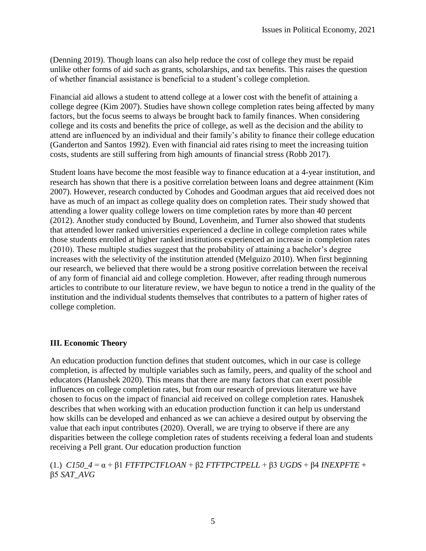(Denning 2019). Though loans can also help reduce the cost of college they must be repaid unlike other forms of aid such as grants, scholarships, and tax benefits. This raises the question of whether financial assistance is beneficial to a student's college completion.

Financial aid allows a student to attend college at a lower cost with the benefit of attaining a college degree (Kim 2007). Studies have shown college completion rates being affected by many factors, but the focus seems to always be brought back to family finances. When considering college and its costs and benefits the price of college, as well as the decision and the ability to attend are influenced by an individual and their family's ability to finance their college education (Ganderton and Santos 1992). Even with financial aid rates rising to meet the increasing tuition costs, students are still suffering from high amounts of financial stress (Robb 2017).

Student loans have become the most feasible way to finance education at a 4-year institution, and research has shown that there is a positive correlation between loans and degree attainment (Kim 2007). However, research conducted by Cohodes and Goodman argues that aid received does not have as much of an impact as college quality does on completion rates. Their study showed that attending a lower quality college lowers on time completion rates by more than 40 percent (2012). Another study conducted by Bound, Lovenheim, and Turner also showed that students that attended lower ranked universities experienced a decline in college completion rates while those students enrolled at higher ranked institutions experienced an increase in completion rates (2010). These multiple studies suggest that the probability of attaining a bachelor's degree increases with the selectivity of the institution attended (Melguizo 2010). When first beginning our research, we believed that there would be a strong positive correlation between the receival of any form of financial aid and college completion. However, after reading through numerous articles to contribute to our literature review, we have begun to notice a trend in the quality of the institution and the individual students themselves that contributes to a pattern of higher rates of college completion.

#### **III. Economic Theory**

An education production function defines that student outcomes, which in our case is college completion, is affected by multiple variables such as family, peers, and quality of the school and educators (Hanushek 2020). This means that there are many factors that can exert possible influences on college completion rates, but from our research of previous literature we have chosen to focus on the impact of financial aid received on college completion rates. Hanushek describes that when working with an education production function it can help us understand how skills can be developed and enhanced as we can achieve a desired output by observing the value that each input contributes (2020). Overall, we are trying to observe if there are any disparities between the college completion rates of students receiving a federal loan and students receiving a Pell grant. Our education production function

(1.) *C150\_4* = α + β1 *FTFTPCTFLOAN* + β2 *FTFTPCTPELL* + β3 *UGDS* + β4 *INEXPFTE* + β5 *SAT\_AVG*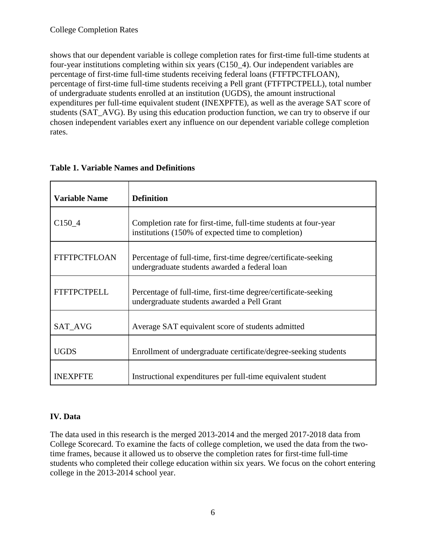shows that our dependent variable is college completion rates for first-time full-time students at four-year institutions completing within six years (C150\_4). Our independent variables are percentage of first-time full-time students receiving federal loans (FTFTPCTFLOAN), percentage of first-time full-time students receiving a Pell grant (FTFTPCTPELL), total number of undergraduate students enrolled at an institution (UGDS), the amount instructional expenditures per full-time equivalent student (INEXPFTE), as well as the average SAT score of students (SAT\_AVG). By using this education production function, we can try to observe if our chosen independent variables exert any influence on our dependent variable college completion rates.

| <b>Variable Name</b> | <b>Definition</b>                                                                                                     |
|----------------------|-----------------------------------------------------------------------------------------------------------------------|
| C <sub>150</sub> 4   | Completion rate for first-time, full-time students at four-year<br>institutions (150% of expected time to completion) |
| <b>FTFTPCTFLOAN</b>  | Percentage of full-time, first-time degree/certificate-seeking<br>undergraduate students awarded a federal loan       |
| <b>FTFTPCTPELL</b>   | Percentage of full-time, first-time degree/certificate-seeking<br>undergraduate students awarded a Pell Grant         |
| <b>SAT AVG</b>       | Average SAT equivalent score of students admitted                                                                     |
| <b>UGDS</b>          | Enrollment of undergraduate certificate/degree-seeking students                                                       |
| <b>INEXPETE</b>      | Instructional expenditures per full-time equivalent student                                                           |

## **Table 1. Variable Names and Definitions**

# **IV. Data**

The data used in this research is the merged 2013-2014 and the merged 2017-2018 data from College Scorecard. To examine the facts of college completion, we used the data from the twotime frames, because it allowed us to observe the completion rates for first-time full-time students who completed their college education within six years. We focus on the cohort entering college in the 2013-2014 school year.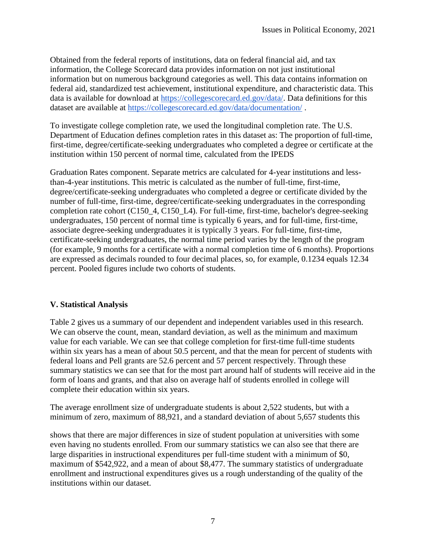Obtained from the federal reports of institutions, data on federal financial aid, and tax information, the College Scorecard data provides information on not just institutional information but on numerous background categories as well. This data contains information on federal aid, standardized test achievement, institutional expenditure, and characteristic data. This data is available for download at [https://collegescorecard.ed.gov/data/.](https://collegescorecard.ed.gov/data/) Data definitions for this dataset are available at<https://collegescorecard.ed.gov/data/documentation/> .

To investigate college completion rate, we used the longitudinal completion rate. The U.S. Department of Education defines completion rates in this dataset as: The proportion of full-time, first-time, degree/certificate-seeking undergraduates who completed a degree or certificate at the institution within 150 percent of normal time, calculated from the IPEDS

Graduation Rates component. Separate metrics are calculated for 4-year institutions and lessthan-4-year institutions. This metric is calculated as the number of full-time, first-time, degree/certificate-seeking undergraduates who completed a degree or certificate divided by the number of full-time, first-time, degree/certificate-seeking undergraduates in the corresponding completion rate cohort (C150\_4, C150\_L4). For full-time, first-time, bachelor's degree-seeking undergraduates, 150 percent of normal time is typically 6 years, and for full-time, first-time, associate degree-seeking undergraduates it is typically 3 years. For full-time, first-time, certificate-seeking undergraduates, the normal time period varies by the length of the program (for example, 9 months for a certificate with a normal completion time of 6 months). Proportions are expressed as decimals rounded to four decimal places, so, for example, 0.1234 equals 12.34 percent. Pooled figures include two cohorts of students.

## **V. Statistical Analysis**

Table 2 gives us a summary of our dependent and independent variables used in this research. We can observe the count, mean, standard deviation, as well as the minimum and maximum value for each variable. We can see that college completion for first-time full-time students within six years has a mean of about 50.5 percent, and that the mean for percent of students with federal loans and Pell grants are 52.6 percent and 57 percent respectively. Through these summary statistics we can see that for the most part around half of students will receive aid in the form of loans and grants, and that also on average half of students enrolled in college will complete their education within six years.

The average enrollment size of undergraduate students is about 2,522 students, but with a minimum of zero, maximum of 88,921, and a standard deviation of about 5,657 students this

shows that there are major differences in size of student population at universities with some even having no students enrolled. From our summary statistics we can also see that there are large disparities in instructional expenditures per full-time student with a minimum of \$0, maximum of \$542,922, and a mean of about \$8,477. The summary statistics of undergraduate enrollment and instructional expenditures gives us a rough understanding of the quality of the institutions within our dataset.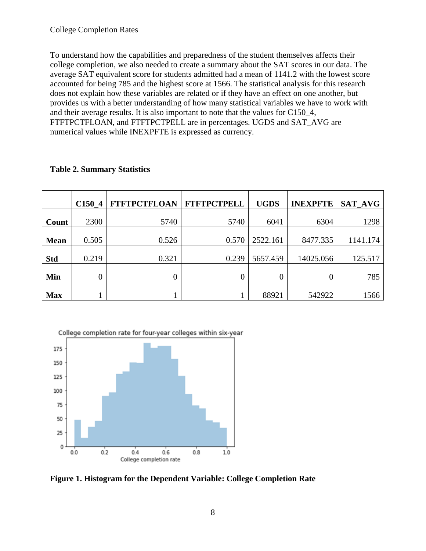To understand how the capabilities and preparedness of the student themselves affects their college completion, we also needed to create a summary about the SAT scores in our data. The average SAT equivalent score for students admitted had a mean of 1141.2 with the lowest score accounted for being 785 and the highest score at 1566. The statistical analysis for this research does not explain how these variables are related or if they have an effect on one another, but provides us with a better understanding of how many statistical variables we have to work with and their average results. It is also important to note that the values for C150\_4, FTFTPCTFLOAN, and FTFTPCTPELL are in percentages. UGDS and SAT\_AVG are numerical values while INEXPFTE is expressed as currency.

|             | C150 <sub>4</sub> | <b>FTFTPCTFLOAN</b> | <b>FTFTPCTPELL</b> | <b>UGDS</b> | <b>INEXPFTE</b> | <b>SAT AVG</b> |
|-------------|-------------------|---------------------|--------------------|-------------|-----------------|----------------|
| Count       | 2300              | 5740                | 5740               | 6041        | 6304            | 1298           |
| <b>Mean</b> | 0.505             | 0.526               | 0.570              | 2522.161    | 8477.335        | 1141.174       |
| <b>Std</b>  | 0.219             | 0.321               | 0.239              | 5657.459    | 14025.056       | 125.517        |
| Min         | $\theta$          | 0                   | $\theta$           | $\theta$    | 0               | 785            |
| <b>Max</b>  |                   |                     |                    | 88921       | 542922          | 1566           |

## **Table 2. Summary Statistics**



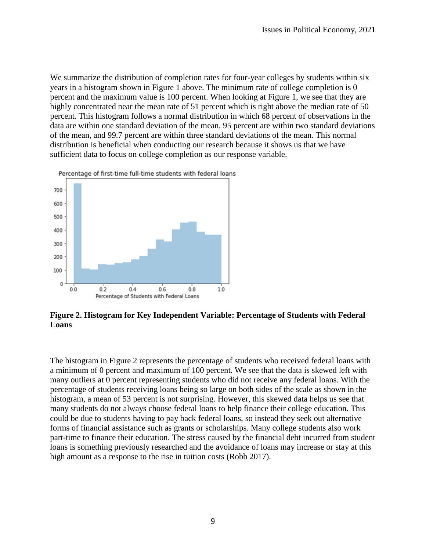We summarize the distribution of completion rates for four-year colleges by students within six years in a histogram shown in Figure 1 above. The minimum rate of college completion is 0 percent and the maximum value is 100 percent. When looking at Figure 1, we see that they are highly concentrated near the mean rate of 51 percent which is right above the median rate of 50 percent. This histogram follows a normal distribution in which 68 percent of observations in the data are within one standard deviation of the mean, 95 percent are within two standard deviations of the mean, and 99.7 percent are within three standard deviations of the mean. This normal distribution is beneficial when conducting our research because it shows us that we have sufficient data to focus on college completion as our response variable.



Percentage of first-time full-time students with federal loans

**Figure 2. Histogram for Key Independent Variable: Percentage of Students with Federal Loans** 

The histogram in Figure 2 represents the percentage of students who received federal loans with a minimum of 0 percent and maximum of 100 percent. We see that the data is skewed left with many outliers at 0 percent representing students who did not receive any federal loans. With the percentage of students receiving loans being so large on both sides of the scale as shown in the histogram, a mean of 53 percent is not surprising. However, this skewed data helps us see that many students do not always choose federal loans to help finance their college education. This could be due to students having to pay back federal loans, so instead they seek out alternative forms of financial assistance such as grants or scholarships. Many college students also work part-time to finance their education. The stress caused by the financial debt incurred from student loans is something previously researched and the avoidance of loans may increase or stay at this high amount as a response to the rise in tuition costs (Robb 2017).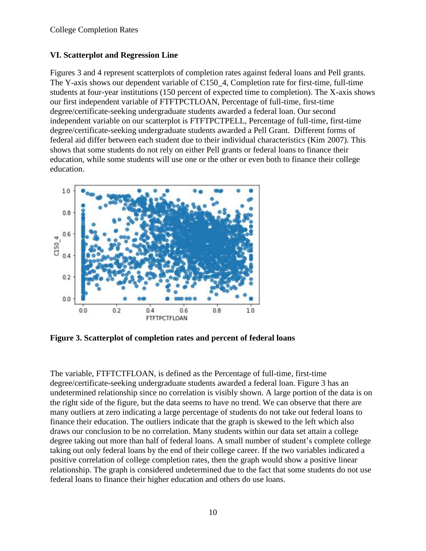## **VI. Scatterplot and Regression Line**

Figures 3 and 4 represent scatterplots of completion rates against federal loans and Pell grants. The Y-axis shows our dependent variable of C150\_4, Completion rate for first-time, full-time students at four-year institutions (150 percent of expected time to completion). The X-axis shows our first independent variable of FTFTPCTLOAN, Percentage of full-time, first-time degree/certificate-seeking undergraduate students awarded a federal loan. Our second independent variable on our scatterplot is FTFTPCTPELL, Percentage of full-time, first-time degree/certificate-seeking undergraduate students awarded a Pell Grant. Different forms of federal aid differ between each student due to their individual characteristics (Kim 2007). This shows that some students do not rely on either Pell grants or federal loans to finance their education, while some students will use one or the other or even both to finance their college education.



**Figure 3. Scatterplot of completion rates and percent of federal loans**

The variable, FTFTCTFLOAN, is defined as the Percentage of full-time, first-time degree/certificate-seeking undergraduate students awarded a federal loan. Figure 3 has an undetermined relationship since no correlation is visibly shown. A large portion of the data is on the right side of the figure, but the data seems to have no trend. We can observe that there are many outliers at zero indicating a large percentage of students do not take out federal loans to finance their education. The outliers indicate that the graph is skewed to the left which also draws our conclusion to be no correlation. Many students within our data set attain a college degree taking out more than half of federal loans. A small number of student's complete college taking out only federal loans by the end of their college career. If the two variables indicated a positive correlation of college completion rates, then the graph would show a positive linear relationship. The graph is considered undetermined due to the fact that some students do not use federal loans to finance their higher education and others do use loans.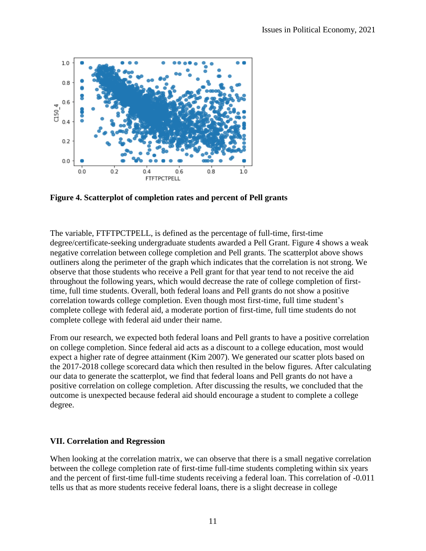

**Figure 4. Scatterplot of completion rates and percent of Pell grants**

The variable, FTFTPCTPELL, is defined as the percentage of full-time, first-time degree/certificate-seeking undergraduate students awarded a Pell Grant. Figure 4 shows a weak negative correlation between college completion and Pell grants. The scatterplot above shows outliners along the perimeter of the graph which indicates that the correlation is not strong. We observe that those students who receive a Pell grant for that year tend to not receive the aid throughout the following years, which would decrease the rate of college completion of firsttime, full time students. Overall, both federal loans and Pell grants do not show a positive correlation towards college completion. Even though most first-time, full time student's complete college with federal aid, a moderate portion of first-time, full time students do not complete college with federal aid under their name.

From our research, we expected both federal loans and Pell grants to have a positive correlation on college completion. Since federal aid acts as a discount to a college education, most would expect a higher rate of degree attainment (Kim 2007). We generated our scatter plots based on the 2017-2018 college scorecard data which then resulted in the below figures. After calculating our data to generate the scatterplot, we find that federal loans and Pell grants do not have a positive correlation on college completion. After discussing the results, we concluded that the outcome is unexpected because federal aid should encourage a student to complete a college degree.

## **VII. Correlation and Regression**

When looking at the correlation matrix, we can observe that there is a small negative correlation between the college completion rate of first-time full-time students completing within six years and the percent of first-time full-time students receiving a federal loan. This correlation of -0.011 tells us that as more students receive federal loans, there is a slight decrease in college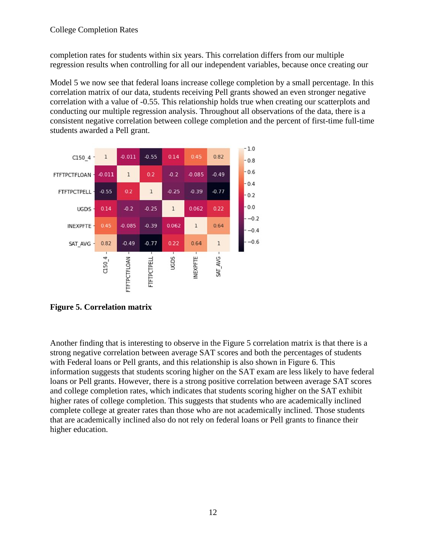completion rates for students within six years. This correlation differs from our multiple regression results when controlling for all our independent variables, because once creating our

Model 5 we now see that federal loans increase college completion by a small percentage. In this correlation matrix of our data, students receiving Pell grants showed an even stronger negative correlation with a value of -0.55. This relationship holds true when creating our scatterplots and conducting our multiple regression analysis. Throughout all observations of the data, there is a consistent negative correlation between college completion and the percent of first-time full-time students awarded a Pell grant.



**Figure 5. Correlation matrix** 

Another finding that is interesting to observe in the Figure 5 correlation matrix is that there is a strong negative correlation between average SAT scores and both the percentages of students with Federal loans or Pell grants, and this relationship is also shown in Figure 6. This information suggests that students scoring higher on the SAT exam are less likely to have federal loans or Pell grants. However, there is a strong positive correlation between average SAT scores and college completion rates, which indicates that students scoring higher on the SAT exhibit higher rates of college completion. This suggests that students who are academically inclined complete college at greater rates than those who are not academically inclined. Those students that are academically inclined also do not rely on federal loans or Pell grants to finance their higher education.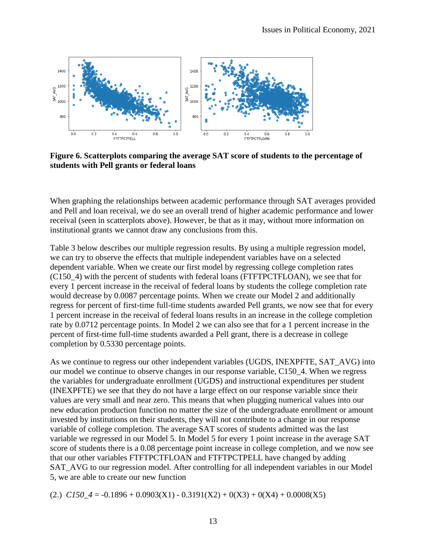

**Figure 6. Scatterplots comparing the average SAT score of students to the percentage of students with Pell grants or federal loans**

When graphing the relationships between academic performance through SAT averages provided and Pell and loan receival, we do see an overall trend of higher academic performance and lower receival (seen in scatterplots above). However, be that as it may, without more information on institutional grants we cannot draw any conclusions from this.

Table 3 below describes our multiple regression results. By using a multiple regression model, we can try to observe the effects that multiple independent variables have on a selected dependent variable. When we create our first model by regressing college completion rates (C150\_4) with the percent of students with federal loans (FTFTPCTFLOAN), we see that for every 1 percent increase in the receival of federal loans by students the college completion rate would decrease by 0.0087 percentage points. When we create our Model 2 and additionally regress for percent of first-time full-time students awarded Pell grants, we now see that for every 1 percent increase in the receival of federal loans results in an increase in the college completion rate by 0.0712 percentage points. In Model 2 we can also see that for a 1 percent increase in the percent of first-time full-time students awarded a Pell grant, there is a decrease in college completion by 0.5330 percentage points.

As we continue to regress our other independent variables (UGDS, INEXPFTE, SAT\_AVG) into our model we continue to observe changes in our response variable, C150\_4. When we regress the variables for undergraduate enrollment (UGDS) and instructional expenditures per student (INEXPFTE) we see that they do not have a large effect on our response variable since their values are very small and near zero. This means that when plugging numerical values into our new education production function no matter the size of the undergraduate enrollment or amount invested by institutions on their students, they will not contribute to a change in our response variable of college completion. The average SAT scores of students admitted was the last variable we regressed in our Model 5. In Model 5 for every 1 point increase in the average SAT score of students there is a 0.08 percentage point increase in college completion, and we now see that our other variables FTFTPCTFLOAN and FTFTPCTPELL have changed by adding SAT AVG to our regression model. After controlling for all independent variables in our Model 5, we are able to create our new function

(2.)  $C150.4 = -0.1896 + 0.0903(X1) - 0.3191(X2) + 0(X3) + 0(X4) + 0.0008(X5)$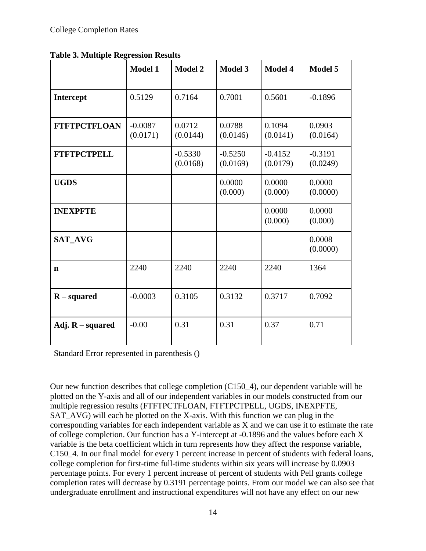|  |  | <b>Table 3. Multiple Regression Results</b> |  |
|--|--|---------------------------------------------|--|
|  |  |                                             |  |

|                     | <b>Model 1</b>        | <b>Model 2</b>        | <b>Model 3</b>        | <b>Model 4</b>        | Model 5               |
|---------------------|-----------------------|-----------------------|-----------------------|-----------------------|-----------------------|
| <b>Intercept</b>    | 0.5129                | 0.7164                | 0.7001                | 0.5601                | $-0.1896$             |
| <b>FTFTPCTFLOAN</b> | $-0.0087$<br>(0.0171) | 0.0712<br>(0.0144)    | 0.0788<br>(0.0146)    | 0.1094<br>(0.0141)    | 0.0903<br>(0.0164)    |
| <b>FTFTPCTPELL</b>  |                       | $-0.5330$<br>(0.0168) | $-0.5250$<br>(0.0169) | $-0.4152$<br>(0.0179) | $-0.3191$<br>(0.0249) |
| <b>UGDS</b>         |                       |                       | 0.0000<br>(0.000)     | 0.0000<br>(0.000)     | 0.0000<br>(0.0000)    |
| <b>INEXPFTE</b>     |                       |                       |                       | 0.0000<br>(0.000)     | 0.0000<br>(0.000)     |
| <b>SAT AVG</b>      |                       |                       |                       |                       | 0.0008<br>(0.0000)    |
| n                   | 2240                  | 2240                  | 2240                  | 2240                  | 1364                  |
| $R$ – squared       | $-0.0003$             | 0.3105                | 0.3132                | 0.3717                | 0.7092                |
| Adj. $R$ – squared  | $-0.00$               | 0.31                  | 0.31                  | 0.37                  | 0.71                  |

Standard Error represented in parenthesis ()

Our new function describes that college completion (C150\_4), our dependent variable will be plotted on the Y-axis and all of our independent variables in our models constructed from our multiple regression results (FTFTPCTFLOAN, FTFTPCTPELL, UGDS, INEXPFTE, SAT\_AVG) will each be plotted on the X-axis. With this function we can plug in the corresponding variables for each independent variable as X and we can use it to estimate the rate of college completion. Our function has a Y-intercept at -0.1896 and the values before each X variable is the beta coefficient which in turn represents how they affect the response variable, C150\_4. In our final model for every 1 percent increase in percent of students with federal loans, college completion for first-time full-time students within six years will increase by 0.0903 percentage points. For every 1 percent increase of percent of students with Pell grants college completion rates will decrease by 0.3191 percentage points. From our model we can also see that undergraduate enrollment and instructional expenditures will not have any effect on our new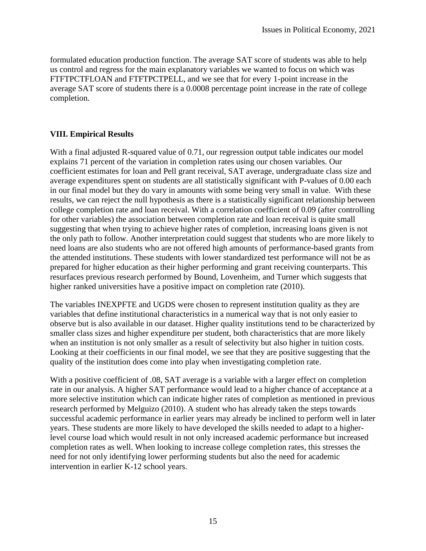formulated education production function. The average SAT score of students was able to help us control and regress for the main explanatory variables we wanted to focus on which was FTFTPCTFLOAN and FTFTPCTPELL, and we see that for every 1-point increase in the average SAT score of students there is a 0.0008 percentage point increase in the rate of college completion.

## **VIII. Empirical Results**

With a final adjusted R-squared value of 0.71, our regression output table indicates our model explains 71 percent of the variation in completion rates using our chosen variables. Our coefficient estimates for loan and Pell grant receival, SAT average, undergraduate class size and average expenditures spent on students are all statistically significant with P-values of 0.00 each in our final model but they do vary in amounts with some being very small in value. With these results, we can reject the null hypothesis as there is a statistically significant relationship between college completion rate and loan receival. With a correlation coefficient of 0.09 (after controlling for other variables) the association between completion rate and loan receival is quite small suggesting that when trying to achieve higher rates of completion, increasing loans given is not the only path to follow. Another interpretation could suggest that students who are more likely to need loans are also students who are not offered high amounts of performance-based grants from the attended institutions. These students with lower standardized test performance will not be as prepared for higher education as their higher performing and grant receiving counterparts. This resurfaces previous research performed by Bound, Lovenheim, and Turner which suggests that higher ranked universities have a positive impact on completion rate (2010).

The variables INEXPFTE and UGDS were chosen to represent institution quality as they are variables that define institutional characteristics in a numerical way that is not only easier to observe but is also available in our dataset. Higher quality institutions tend to be characterized by smaller class sizes and higher expenditure per student, both characteristics that are more likely when an institution is not only smaller as a result of selectivity but also higher in tuition costs. Looking at their coefficients in our final model, we see that they are positive suggesting that the quality of the institution does come into play when investigating completion rate.

With a positive coefficient of .08, SAT average is a variable with a larger effect on completion rate in our analysis. A higher SAT performance would lead to a higher chance of acceptance at a more selective institution which can indicate higher rates of completion as mentioned in previous research performed by Melguizo (2010). A student who has already taken the steps towards successful academic performance in earlier years may already be inclined to perform well in later years. These students are more likely to have developed the skills needed to adapt to a higherlevel course load which would result in not only increased academic performance but increased completion rates as well. When looking to increase college completion rates, this stresses the need for not only identifying lower performing students but also the need for academic intervention in earlier K-12 school years.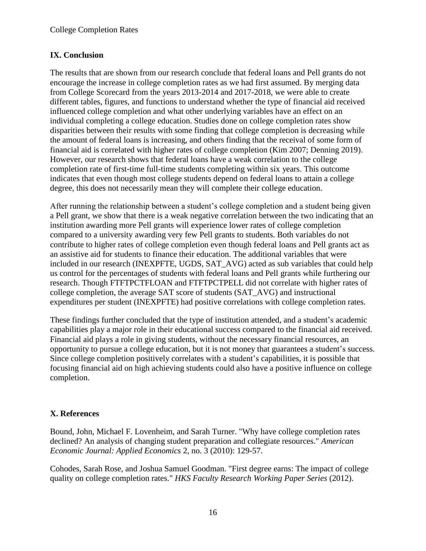## **IX. Conclusion**

The results that are shown from our research conclude that federal loans and Pell grants do not encourage the increase in college completion rates as we had first assumed. By merging data from College Scorecard from the years 2013-2014 and 2017-2018, we were able to create different tables, figures, and functions to understand whether the type of financial aid received influenced college completion and what other underlying variables have an effect on an individual completing a college education. Studies done on college completion rates show disparities between their results with some finding that college completion is decreasing while the amount of federal loans is increasing, and others finding that the receival of some form of financial aid is correlated with higher rates of college completion (Kim 2007; Denning 2019). However, our research shows that federal loans have a weak correlation to the college completion rate of first-time full-time students completing within six years. This outcome indicates that even though most college students depend on federal loans to attain a college degree, this does not necessarily mean they will complete their college education.

After running the relationship between a student's college completion and a student being given a Pell grant, we show that there is a weak negative correlation between the two indicating that an institution awarding more Pell grants will experience lower rates of college completion compared to a university awarding very few Pell grants to students. Both variables do not contribute to higher rates of college completion even though federal loans and Pell grants act as an assistive aid for students to finance their education. The additional variables that were included in our research (INEXPFTE, UGDS, SAT\_AVG) acted as sub variables that could help us control for the percentages of students with federal loans and Pell grants while furthering our research. Though FTFTPCTFLOAN and FTFTPCTPELL did not correlate with higher rates of college completion, the average SAT score of students (SAT\_AVG) and instructional expenditures per student (INEXPFTE) had positive correlations with college completion rates.

These findings further concluded that the type of institution attended, and a student's academic capabilities play a major role in their educational success compared to the financial aid received. Financial aid plays a role in giving students, without the necessary financial resources, an opportunity to pursue a college education, but it is not money that guarantees a student's success. Since college completion positively correlates with a student's capabilities, it is possible that focusing financial aid on high achieving students could also have a positive influence on college completion.

## **X. References**

Bound, John, Michael F. Lovenheim, and Sarah Turner. "Why have college completion rates declined? An analysis of changing student preparation and collegiate resources." *American Economic Journal: Applied Economics* 2, no. 3 (2010): 129-57.

Cohodes, Sarah Rose, and Joshua Samuel Goodman. "First degree earns: The impact of college quality on college completion rates." *HKS Faculty Research Working Paper Series* (2012).